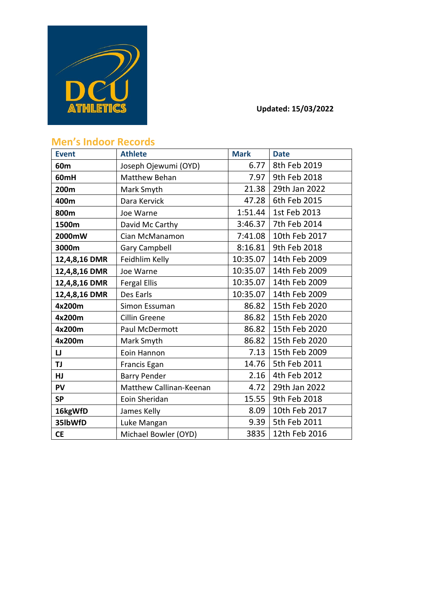

## **Updated: 15/03/2022**

## **Men's Indoor Records**

| <b>Event</b>    | <b>Athlete</b>          | <b>Mark</b> | <b>Date</b>   |
|-----------------|-------------------------|-------------|---------------|
| 60 <sub>m</sub> | Joseph Ojewumi (OYD)    | 6.77        | 8th Feb 2019  |
| 60mH            | Matthew Behan           | 7.97        | 9th Feb 2018  |
| 200m            | Mark Smyth              | 21.38       | 29th Jan 2022 |
| 400m            | Dara Kervick            | 47.28       | 6th Feb 2015  |
| 800m            | Joe Warne               | 1:51.44     | 1st Feb 2013  |
| 1500m           | David Mc Carthy         | 3:46.37     | 7th Feb 2014  |
| 2000mW          | Cian McManamon          | 7:41.08     | 10th Feb 2017 |
| 3000m           | <b>Gary Campbell</b>    | 8:16.81     | 9th Feb 2018  |
| 12,4,8,16 DMR   | Feidhlim Kelly          | 10:35.07    | 14th Feb 2009 |
| 12,4,8,16 DMR   | Joe Warne               | 10:35.07    | 14th Feb 2009 |
| 12,4,8,16 DMR   | <b>Fergal Ellis</b>     | 10:35.07    | 14th Feb 2009 |
| 12,4,8,16 DMR   | Des Earls               | 10:35.07    | 14th Feb 2009 |
| 4x200m          | Simon Essuman           | 86.82       | 15th Feb 2020 |
| 4x200m          | <b>Cillin Greene</b>    | 86.82       | 15th Feb 2020 |
| 4x200m          | Paul McDermott          | 86.82       | 15th Feb 2020 |
| 4x200m          | Mark Smyth              | 86.82       | 15th Feb 2020 |
| IJ              | Eoin Hannon             | 7.13        | 15th Feb 2009 |
| <b>TJ</b>       | Francis Egan            | 14.76       | 5th Feb 2011  |
| <b>HJ</b>       | <b>Barry Pender</b>     | 2.16        | 4th Feb 2012  |
| PV              | Matthew Callinan-Keenan | 4.72        | 29th Jan 2022 |
| <b>SP</b>       | Eoin Sheridan           | 15.55       | 9th Feb 2018  |
| 16kgWfD         | James Kelly             | 8.09        | 10th Feb 2017 |
| 35lbWfD         | Luke Mangan             | 9.39        | 5th Feb 2011  |
| <b>CE</b>       | Michael Bowler (OYD)    | 3835        | 12th Feb 2016 |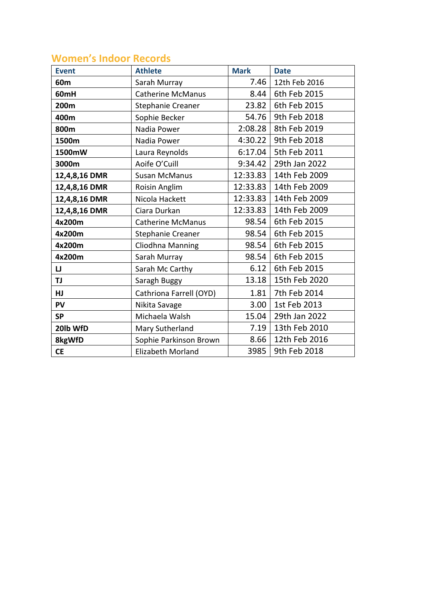## **Women's Indoor Records**

| <b>Event</b>    | <b>Athlete</b>           | <b>Mark</b> | <b>Date</b>   |
|-----------------|--------------------------|-------------|---------------|
| 60 <sub>m</sub> | Sarah Murray             | 7.46        | 12th Feb 2016 |
| 60mH            | <b>Catherine McManus</b> | 8.44        | 6th Feb 2015  |
| 200m            | Stephanie Creaner        | 23.82       | 6th Feb 2015  |
| 400m            | Sophie Becker            | 54.76       | 9th Feb 2018  |
| 800m            | Nadia Power              | 2:08.28     | 8th Feb 2019  |
| 1500m           | Nadia Power              | 4:30.22     | 9th Feb 2018  |
| 1500mW          | Laura Reynolds           | 6:17.04     | 5th Feb 2011  |
| 3000m           | Aoife O'Cuill            | 9:34.42     | 29th Jan 2022 |
| 12,4,8,16 DMR   | <b>Susan McManus</b>     | 12:33.83    | 14th Feb 2009 |
| 12,4,8,16 DMR   | Roisin Anglim            | 12:33.83    | 14th Feb 2009 |
| 12,4,8,16 DMR   | Nicola Hackett           | 12:33.83    | 14th Feb 2009 |
| 12,4,8,16 DMR   | Ciara Durkan             | 12:33.83    | 14th Feb 2009 |
| 4x200m          | <b>Catherine McManus</b> | 98.54       | 6th Feb 2015  |
| 4x200m          | Stephanie Creaner        | 98.54       | 6th Feb 2015  |
| 4x200m          | Cliodhna Manning         | 98.54       | 6th Feb 2015  |
| 4x200m          | Sarah Murray             | 98.54       | 6th Feb 2015  |
| IJ              | Sarah Mc Carthy          | 6.12        | 6th Feb 2015  |
| TJ              | Saragh Buggy             | 13.18       | 15th Feb 2020 |
| HJ              | Cathriona Farrell (OYD)  | 1.81        | 7th Feb 2014  |
| PV              | Nikita Savage            | 3.00        | 1st Feb 2013  |
| <b>SP</b>       | Michaela Walsh           | 15.04       | 29th Jan 2022 |
| 20lb WfD        | Mary Sutherland          | 7.19        | 13th Feb 2010 |
| 8kgWfD          | Sophie Parkinson Brown   | 8.66        | 12th Feb 2016 |
| <b>CE</b>       | Elizabeth Morland        | 3985        | 9th Feb 2018  |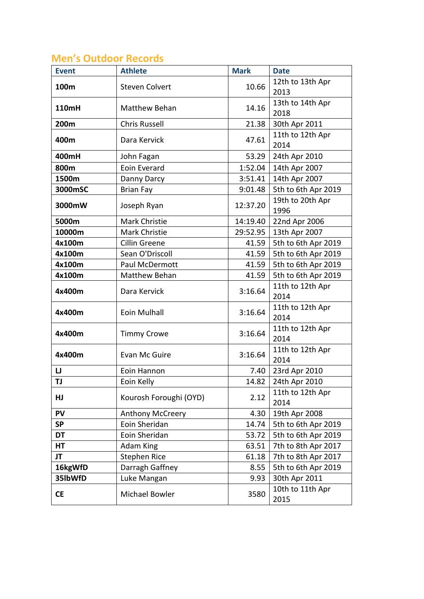# **Men's Outdoor Records**

| <b>Event</b> | <b>Athlete</b>         | <b>Mark</b> | <b>Date</b>              |
|--------------|------------------------|-------------|--------------------------|
| 100m         | <b>Steven Colvert</b>  | 10.66       | 12th to 13th Apr<br>2013 |
| <b>110mH</b> | Matthew Behan          | 14.16       | 13th to 14th Apr<br>2018 |
| 200m         | <b>Chris Russell</b>   | 21.38       | 30th Apr 2011            |
| 400m         | Dara Kervick           | 47.61       | 11th to 12th Apr<br>2014 |
| 400mH        | John Fagan             | 53.29       | 24th Apr 2010            |
| 800m         | Eoin Everard           | 1:52.04     | 14th Apr 2007            |
| 1500m        | Danny Darcy            | 3:51.41     | 14th Apr 2007            |
| 3000mSC      | <b>Brian Fay</b>       | 9:01.48     | 5th to 6th Apr 2019      |
| 3000mW       | Joseph Ryan            | 12:37.20    | 19th to 20th Apr<br>1996 |
| 5000m        | Mark Christie          | 14:19.40    | 22nd Apr 2006            |
| 10000m       | Mark Christie          | 29:52.95    | 13th Apr 2007            |
| 4x100m       | Cillin Greene          | 41.59       | 5th to 6th Apr 2019      |
| 4x100m       | Sean O'Driscoll        | 41.59       | 5th to 6th Apr 2019      |
| 4x100m       | Paul McDermott         | 41.59       | 5th to 6th Apr 2019      |
| 4x100m       | Matthew Behan          | 41.59       | 5th to 6th Apr 2019      |
| 4x400m       | Dara Kervick           | 3:16.64     | 11th to 12th Apr<br>2014 |
| 4x400m       | Eoin Mulhall           | 3:16.64     | 11th to 12th Apr<br>2014 |
| 4x400m       | <b>Timmy Crowe</b>     | 3:16.64     | 11th to 12th Apr<br>2014 |
| 4x400m       | Evan Mc Guire          | 3:16.64     | 11th to 12th Apr<br>2014 |
| IJ           | Eoin Hannon            | 7.40        | 23rd Apr 2010            |
| TJ           | Eoin Kelly             | 14.82       | 24th Apr 2010            |
| HJ           | Kourosh Foroughi (OYD) | 2.12        | 11th to 12th Apr<br>2014 |
| <b>PV</b>    | Anthony McCreery       | 4.30        | 19th Apr 2008            |
| <b>SP</b>    | Eoin Sheridan          | 14.74       | 5th to 6th Apr 2019      |
| DT           | Eoin Sheridan          | 53.72       | 5th to 6th Apr 2019      |
| HT           | <b>Adam King</b>       | 63.51       | 7th to 8th Apr 2017      |
| JT           | <b>Stephen Rice</b>    | 61.18       | 7th to 8th Apr 2017      |
| 16kgWfD      | Darragh Gaffney        | 8.55        | 5th to 6th Apr 2019      |
| 35lbWfD      | Luke Mangan            | 9.93        | 30th Apr 2011            |
| <b>CE</b>    | Michael Bowler         | 3580        | 10th to 11th Apr<br>2015 |